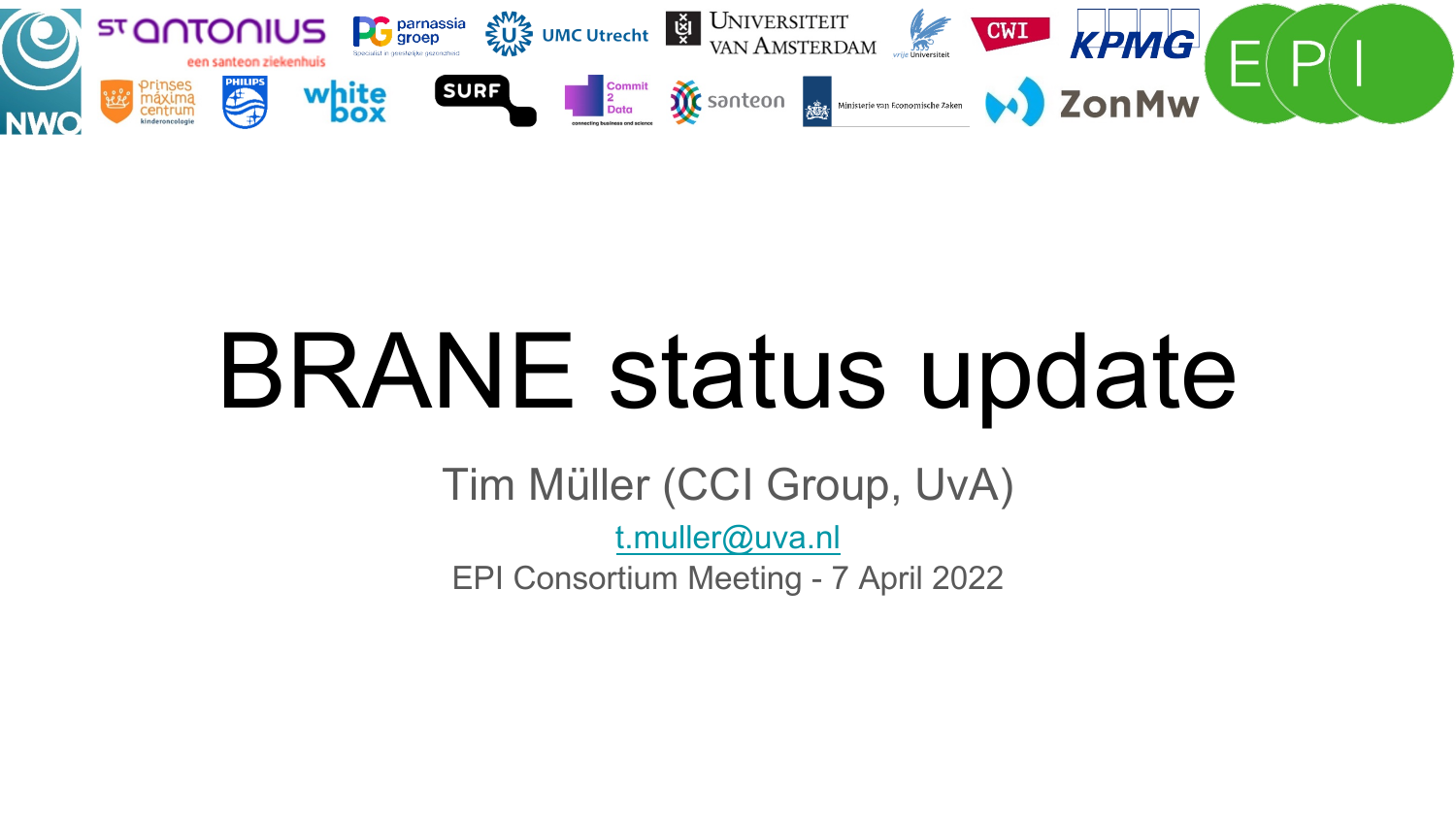

## BRANE status update

Tim Müller (CCI Group, UvA) t.muller@uva.nl EPI Consortium Meeting - 7 April 2022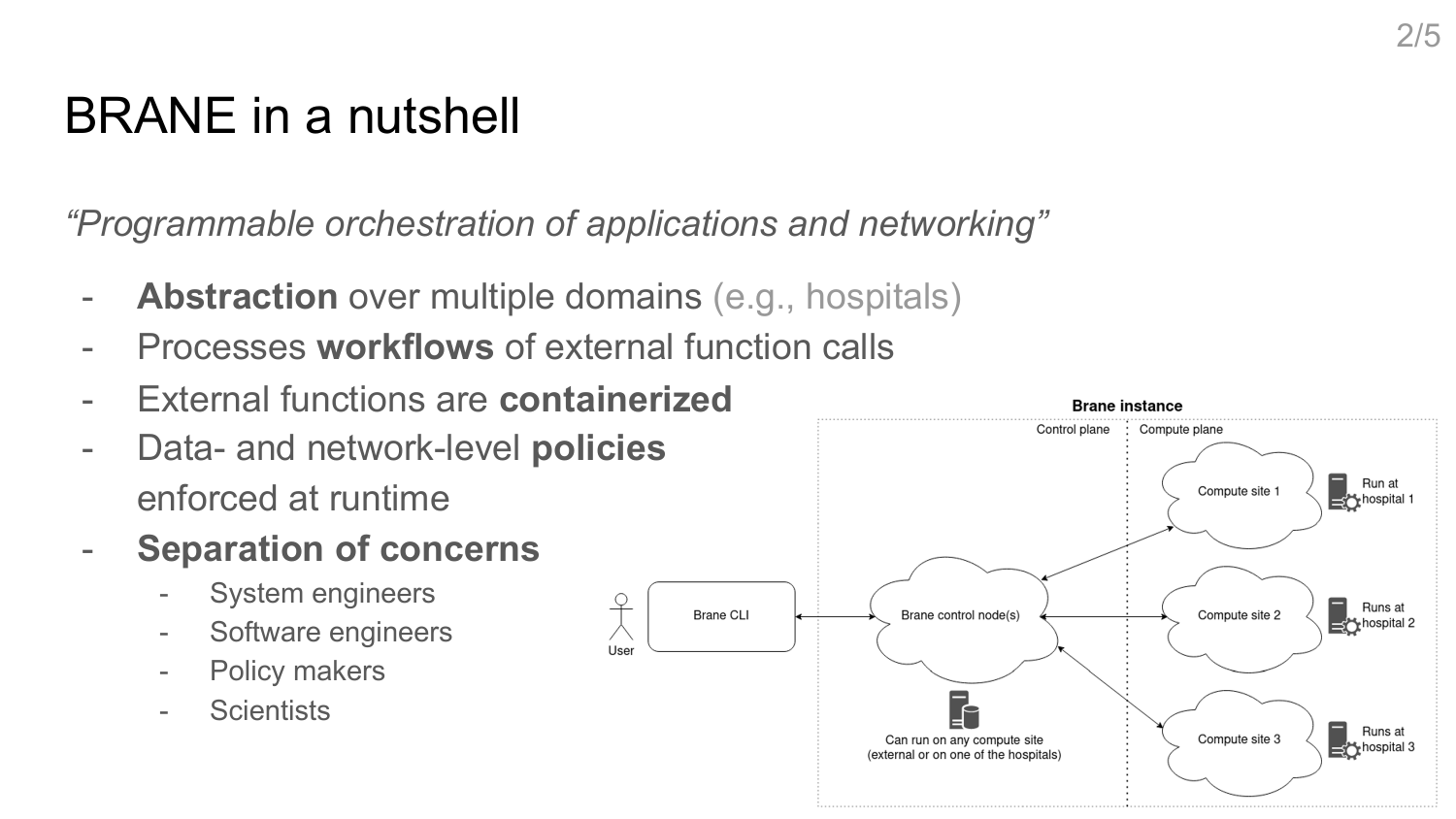## BRANE in a nutshell

*"Programmable orchestration of applications and networking"*

- **Abstraction** over multiple domains (e.g., hospitals)
- Processes **workflows** of external function calls
- External functions are **containerized**
- Data- and network-level **policies** enforced at runtime
- **Separation of concerns**
	- System engineers
	- Software engineers
	- Policy makers
	- **Scientists**



 $2/5$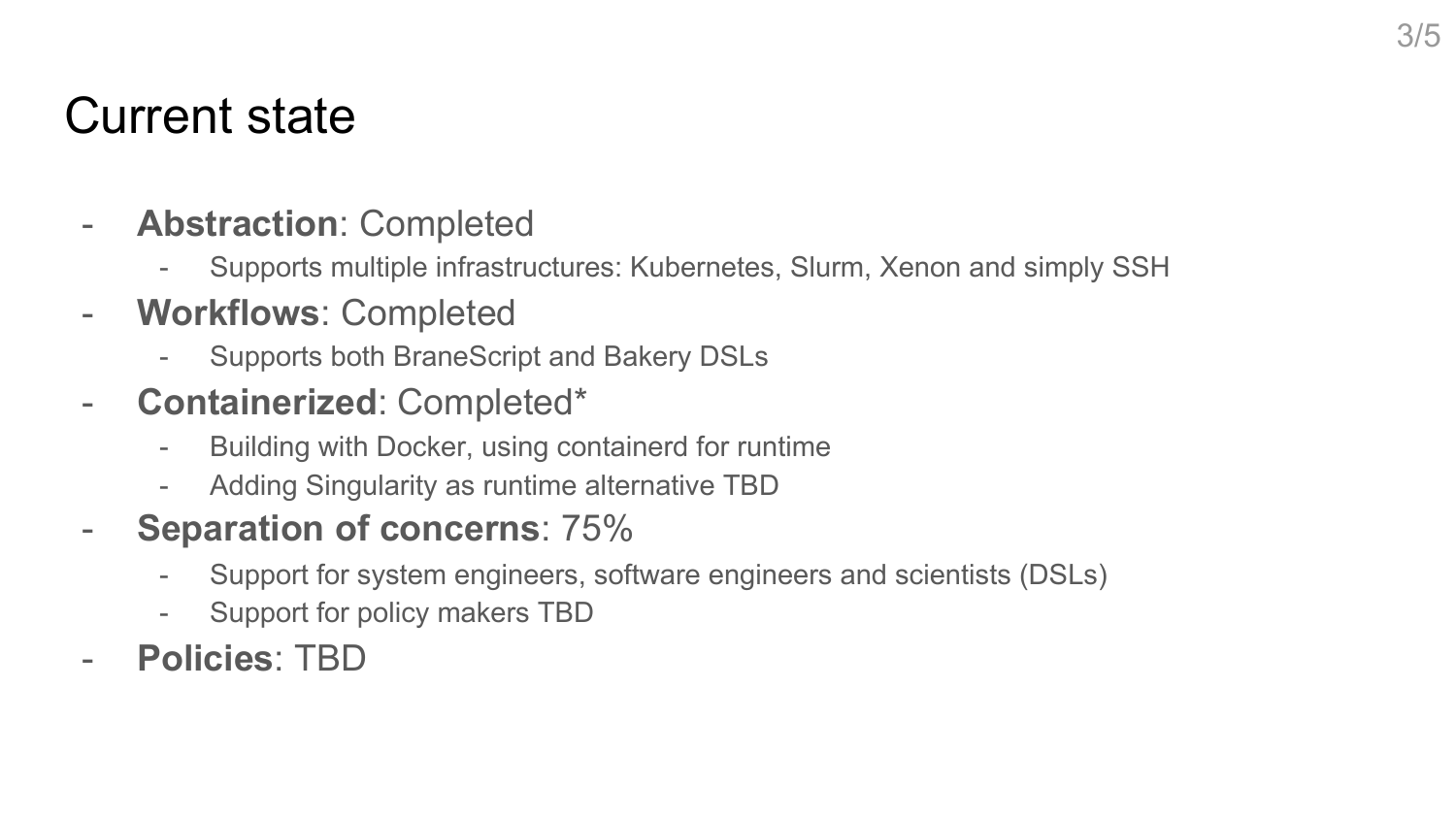## Current state

- **Abstraction**: Completed
	- Supports multiple infrastructures: Kubernetes, Slurm, Xenon and simply SSH
- **Workflows**: Completed
	- Supports both BraneScript and Bakery DSLs
- **Containerized**: Completed\*
	- Building with Docker, using containerd for runtime
	- Adding Singularity as runtime alternative TBD
- **Separation of concerns**: 75%
	- Support for system engineers, software engineers and scientists (DSLs)
	- Support for policy makers TBD
- **Policies**: TBD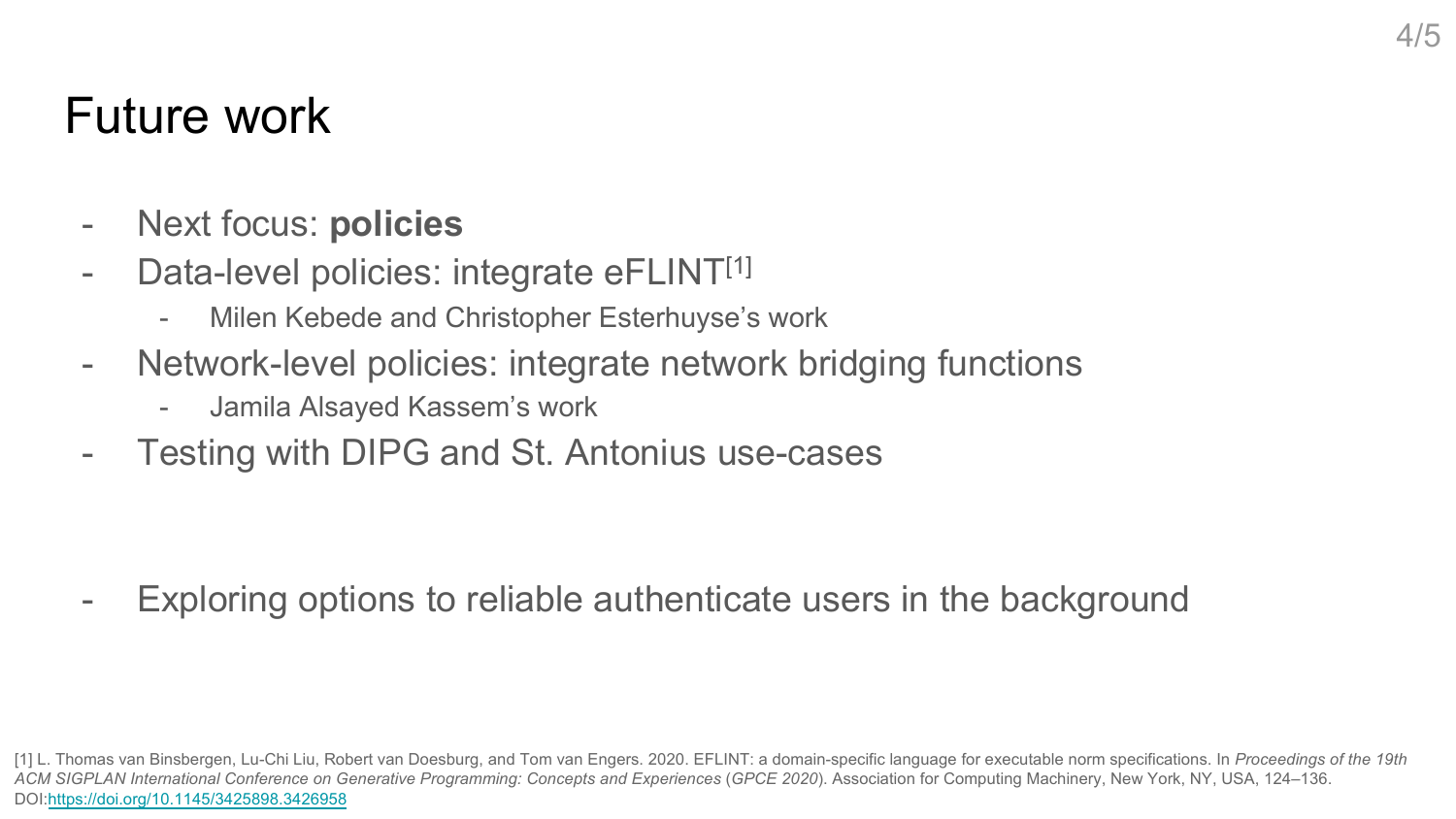## Future work

- Next focus: **policies**
- Data-level policies: integrate eFLINT<sup>[1]</sup>
	- Milen Kebede and Christopher Esterhuyse's work
- Network-level policies: integrate network bridging functions
	- Jamila Alsayed Kassem's work
- Testing with DIPG and St. Antonius use-cases
- Exploring options to reliable authenticate users in the background

<sup>[1]</sup> L. Thomas van Binsbergen, Lu-Chi Liu, Robert van Doesburg, and Tom van Engers. 2020. EFLINT: a domain-specific language for executable norm specifications. In ACM SIGPLAN International Conference on Generative Programming: Concepts and Experiences (GPCE 2020). Association for Computing Machinery, New York, NY, US DOI:https://doi.org/10.1145/3425898.3426958